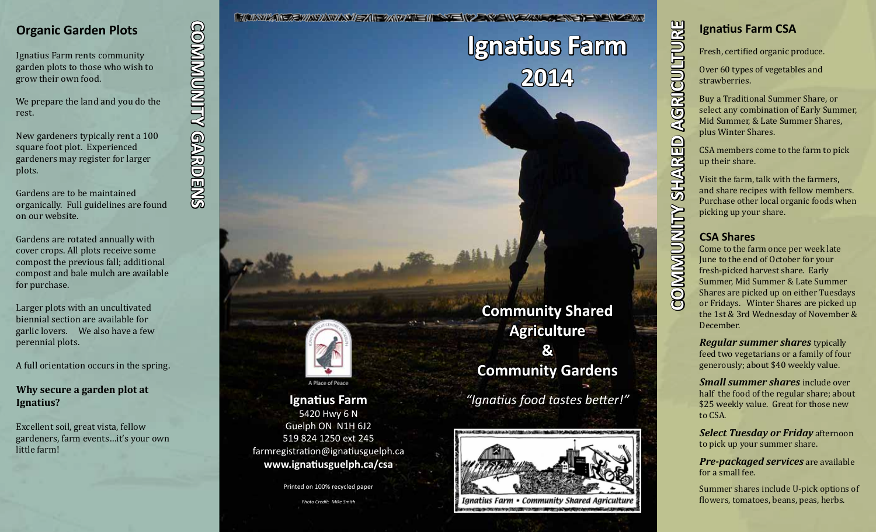## **Organic Garden Plots**

Ignatius Farm rents community garden plots to those who wish to grow their own food.

We prepare the land and you do the rest.

New gardeners typically rent a 100 square foot plot. Experienced gardeners may register for larger plots.

Gardens are to be maintained organically. Full guidelines are found on our website.

Gardens are rotated annually with cover crops. All plots receive some compost the previous fall; additional compost and bale mulch are available for purchase.

Larger plots with an uncultivated biennial section are available for garlic lovers. We also have a few perennial plots.

A full orientation occurs in the spring.

**Why secure a garden plot at Ignatius?** 

Excellent soil, great vista, fellow gardeners, farm events…it's your own little farm!

**COMMUNITY GARDENS COMMUNITY GARDENS**

<u> FALSWAN - A WAYAWA WEZH AR AWALE IN SY EN 2 - WEIN EAREN SY EN SIN AN EN ZONY</u> **Ignatius Farm**

**2014**



**Ignatius Farm** 5420 Hwy 6 N Guelph ON N1H 6J2 519 824 1250 ext 245 farmregistration@ignatiusguelph.ca **www.ignatiusguelph.ca/csa**

Printed on 100% recycled paper

*Photo Credit: Mike Smith*

**Community Shared Agriculture & Community Gardens** *"Ignatius food tastes better!"*



**Ignatius Farm CSA** Fresh, certified organic produce. Over 60 types of vegetables and strawberries. Buy a Traditional Summer Share, or select any combination of Early Summer, Mid Summer, & Late Summer Shares, plus Winter Shares. CSA members come to the farm to pick up their share. Visit the farm, talk with the farmers, and share recipes with fellow members. Purchase other local organic foods when picking up your share. **CSA Shares**

**COMMUNITY SHARED AGRICULTURE**

COMMUNITY SHARED

AGRICULTURE

Come to the farm once per week late June to the end of October for your fresh-picked harvest share. Early Summer, Mid Summer & Late Summer Shares are picked up on either Tuesdays or Fridays. Winter Shares are picked up the 1st & 3rd Wednesday of November & December.

*Regular summer shares* typically feed two vegetarians or a family of four generously; about \$40 weekly value.

*Small summer shares* include over half the food of the regular share; about \$25 weekly value. Great for those new to CSA.

*Select Tuesday or Friday* afternoon to pick up your summer share.

*Pre-packaged services* are available for a small fee.

Summer shares include U-pick options of flowers, tomatoes, beans, peas, herbs.